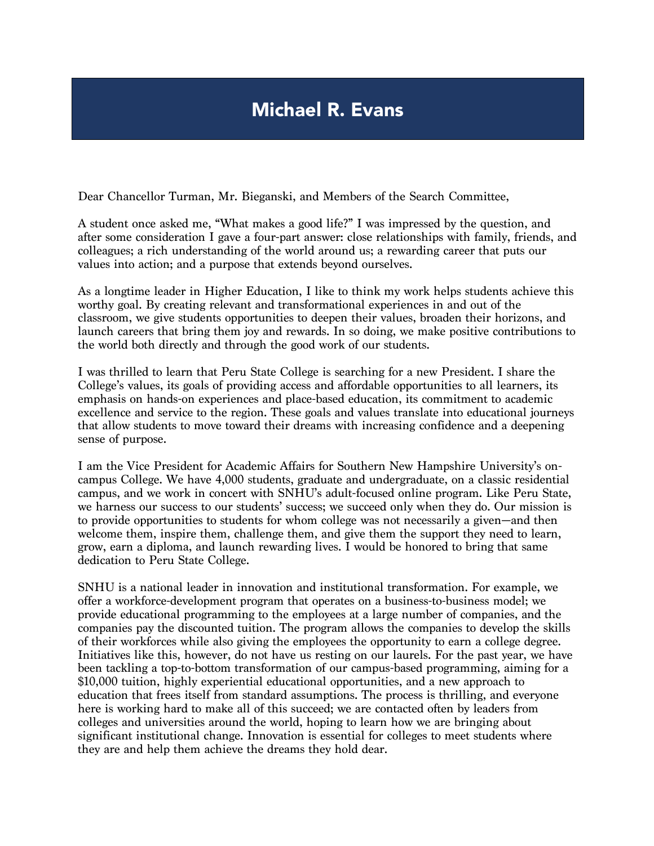## Michael R. Evans

Dear Chancellor Turman, Mr. Bieganski, and Members of the Search Committee,

A student once asked me, "What makes a good life?" I was impressed by the question, and after some consideration I gave a four-part answer: close relationships with family, friends, and colleagues; a rich understanding of the world around us; a rewarding career that puts our values into action; and a purpose that extends beyond ourselves.

As a longtime leader in Higher Education, I like to think my work helps students achieve this worthy goal. By creating relevant and transformational experiences in and out of the classroom, we give students opportunities to deepen their values, broaden their horizons, and launch careers that bring them joy and rewards. In so doing, we make positive contributions to the world both directly and through the good work of our students.

I was thrilled to learn that Peru State College is searching for a new President. I share the College's values, its goals of providing access and affordable opportunities to all learners, its emphasis on hands-on experiences and place-based education, its commitment to academic excellence and service to the region. These goals and values translate into educational journeys that allow students to move toward their dreams with increasing confidence and a deepening sense of purpose.

I am the Vice President for Academic Affairs for Southern New Hampshire University's oncampus College. We have 4,000 students, graduate and undergraduate, on a classic residential campus, and we work in concert with SNHU's adult-focused online program. Like Peru State, we harness our success to our students' success; we succeed only when they do. Our mission is to provide opportunities to students for whom college was not necessarily a given—and then welcome them, inspire them, challenge them, and give them the support they need to learn, grow, earn a diploma, and launch rewarding lives. I would be honored to bring that same dedication to Peru State College.

SNHU is a national leader in innovation and institutional transformation. For example, we offer a workforce-development program that operates on a business-to-business model; we provide educational programming to the employees at a large number of companies, and the companies pay the discounted tuition. The program allows the companies to develop the skills of their workforces while also giving the employees the opportunity to earn a college degree. Initiatives like this, however, do not have us resting on our laurels. For the past year, we have been tackling a top-to-bottom transformation of our campus-based programming, aiming for a \$10,000 tuition, highly experiential educational opportunities, and a new approach to education that frees itself from standard assumptions. The process is thrilling, and everyone here is working hard to make all of this succeed; we are contacted often by leaders from colleges and universities around the world, hoping to learn how we are bringing about significant institutional change. Innovation is essential for colleges to meet students where they are and help them achieve the dreams they hold dear.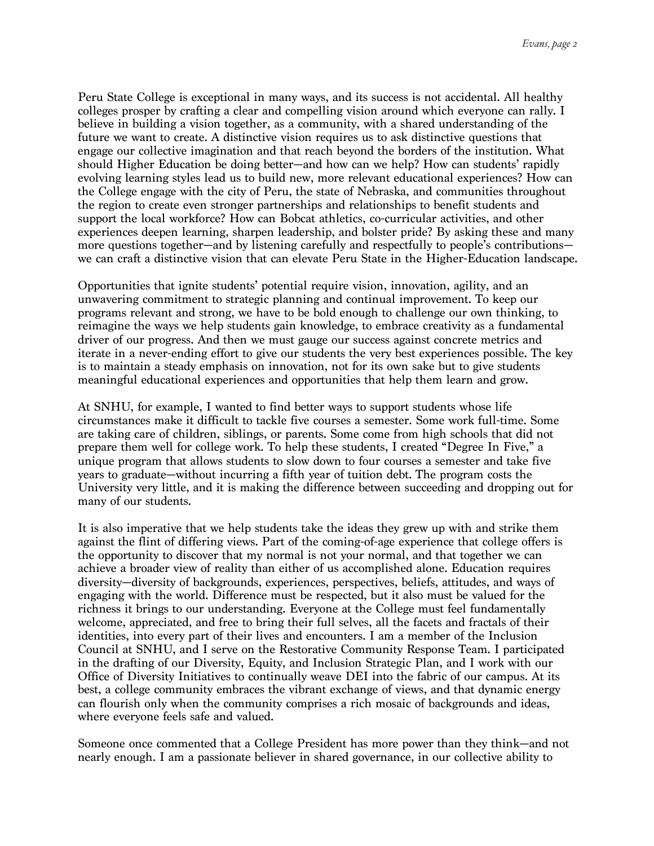Peru State College is exceptional in many ways, and its success is not accidental. All healthy colleges prosper by crafting a clear and compelling vision around which everyone can rally. I believe in building a vision together, as a community, with a shared understanding of the future we want to create. A distinctive vision requires us to ask distinctive questions that engage our collective imagination and that reach beyond the borders of the institution. What should Higher Education be doing better—and how can we help? How can students' rapidly evolving learning styles lead us to build new, more relevant educational experiences? How can the College engage with the city of Peru, the state of Nebraska, and communities throughout the region to create even stronger partnerships and relationships to benefit students and support the local workforce? How can Bobcat athletics, co-curricular activities, and other experiences deepen learning, sharpen leadership, and bolster pride? By asking these and many more questions together—and by listening carefully and respectfully to people's contributions we can craft a distinctive vision that can elevate Peru State in the Higher-Education landscape.

Opportunities that ignite students' potential require vision, innovation, agility, and an unwavering commitment to strategic planning and continual improvement. To keep our programs relevant and strong, we have to be bold enough to challenge our own thinking, to reimagine the ways we help students gain knowledge, to embrace creativity as a fundamental driver of our progress. And then we must gauge our success against concrete metrics and iterate in a never-ending effort to give our students the very best experiences possible. The key is to maintain a steady emphasis on innovation, not for its own sake but to give students meaningful educational experiences and opportunities that help them learn and grow.

At SNHU, for example, I wanted to find better ways to support students whose life circumstances make it difficult to tackle five courses a semester. Some work full-time. Some are taking care of children, siblings, or parents. Some come from high schools that did not prepare them well for college work. To help these students, I created "Degree In Five," a unique program that allows students to slow down to four courses a semester and take five years to graduate—without incurring a fifth year of tuition debt. The program costs the University very little, and it is making the difference between succeeding and dropping out for many of our students.

It is also imperative that we help students take the ideas they grew up with and strike them against the flint of differing views. Part of the coming-of-age experience that college offers is the opportunity to discover that my normal is not your normal, and that together we can achieve a broader view of reality than either of us accomplished alone. Education requires diversity—diversity of backgrounds, experiences, perspectives, beliefs, attitudes, and ways of engaging with the world. Difference must be respected, but it also must be valued for the richness it brings to our understanding. Everyone at the College must feel fundamentally welcome, appreciated, and free to bring their full selves, all the facets and fractals of their identities, into every part of their lives and encounters. I am a member of the Inclusion Council at SNHU, and I serve on the Restorative Community Response Team. I participated in the drafting of our Diversity, Equity, and Inclusion Strategic Plan, and I work with our Office of Diversity Initiatives to continually weave DEI into the fabric of our campus. At its best, a college community embraces the vibrant exchange of views, and that dynamic energy can flourish only when the community comprises a rich mosaic of backgrounds and ideas, where everyone feels safe and valued.

Someone once commented that a College President has more power than they think—and not nearly enough. I am a passionate believer in shared governance, in our collective ability to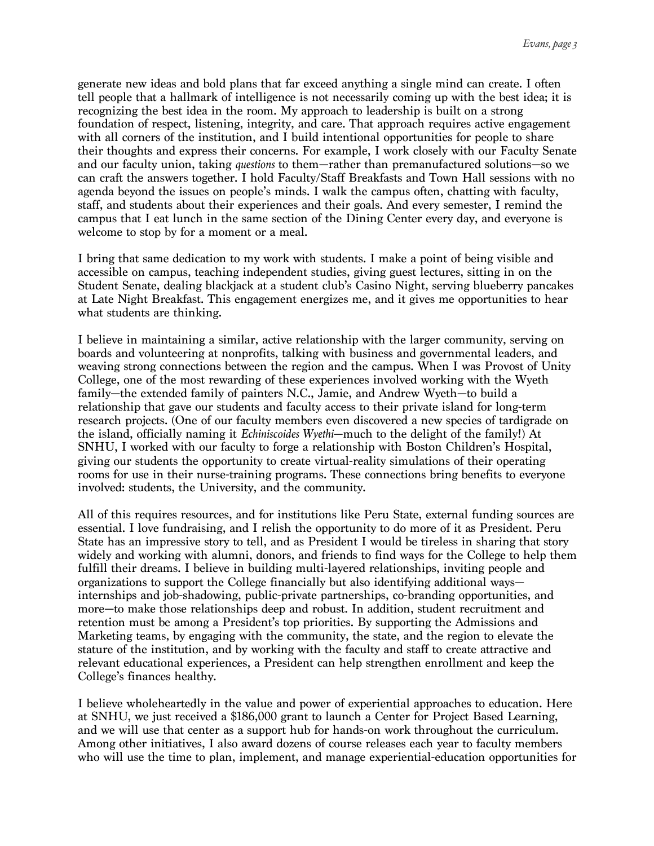generate new ideas and bold plans that far exceed anything a single mind can create. I often tell people that a hallmark of intelligence is not necessarily coming up with the best idea; it is recognizing the best idea in the room. My approach to leadership is built on a strong foundation of respect, listening, integrity, and care. That approach requires active engagement with all corners of the institution, and I build intentional opportunities for people to share their thoughts and express their concerns. For example, I work closely with our Faculty Senate and our faculty union, taking *questions* to them—rather than premanufactured solutions—so we can craft the answers together. I hold Faculty/Staff Breakfasts and Town Hall sessions with no agenda beyond the issues on people's minds. I walk the campus often, chatting with faculty, staff, and students about their experiences and their goals. And every semester, I remind the campus that I eat lunch in the same section of the Dining Center every day, and everyone is welcome to stop by for a moment or a meal.

I bring that same dedication to my work with students. I make a point of being visible and accessible on campus, teaching independent studies, giving guest lectures, sitting in on the Student Senate, dealing blackjack at a student club's Casino Night, serving blueberry pancakes at Late Night Breakfast. This engagement energizes me, and it gives me opportunities to hear what students are thinking.

I believe in maintaining a similar, active relationship with the larger community, serving on boards and volunteering at nonprofits, talking with business and governmental leaders, and weaving strong connections between the region and the campus. When I was Provost of Unity College, one of the most rewarding of these experiences involved working with the Wyeth family—the extended family of painters N.C., Jamie, and Andrew Wyeth—to build a relationship that gave our students and faculty access to their private island for long-term research projects. (One of our faculty members even discovered a new species of tardigrade on the island, officially naming it *Echiniscoides Wyethi*—much to the delight of the family!) At SNHU, I worked with our faculty to forge a relationship with Boston Children's Hospital, giving our students the opportunity to create virtual-reality simulations of their operating rooms for use in their nurse-training programs. These connections bring benefits to everyone involved: students, the University, and the community.

All of this requires resources, and for institutions like Peru State, external funding sources are essential. I love fundraising, and I relish the opportunity to do more of it as President. Peru State has an impressive story to tell, and as President I would be tireless in sharing that story widely and working with alumni, donors, and friends to find ways for the College to help them fulfill their dreams. I believe in building multi-layered relationships, inviting people and organizations to support the College financially but also identifying additional ways internships and job-shadowing, public-private partnerships, co-branding opportunities, and more—to make those relationships deep and robust. In addition, student recruitment and retention must be among a President's top priorities. By supporting the Admissions and Marketing teams, by engaging with the community, the state, and the region to elevate the stature of the institution, and by working with the faculty and staff to create attractive and relevant educational experiences, a President can help strengthen enrollment and keep the College's finances healthy.

I believe wholeheartedly in the value and power of experiential approaches to education. Here at SNHU, we just received a \$186,000 grant to launch a Center for Project Based Learning, and we will use that center as a support hub for hands-on work throughout the curriculum. Among other initiatives, I also award dozens of course releases each year to faculty members who will use the time to plan, implement, and manage experiential-education opportunities for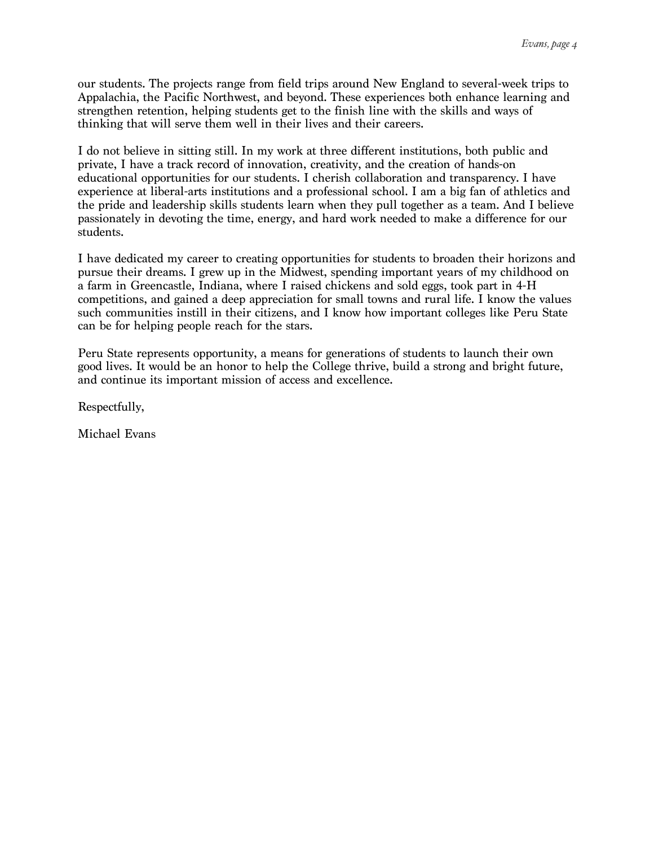our students. The projects range from field trips around New England to several-week trips to Appalachia, the Pacific Northwest, and beyond. These experiences both enhance learning and strengthen retention, helping students get to the finish line with the skills and ways of thinking that will serve them well in their lives and their careers.

I do not believe in sitting still. In my work at three different institutions, both public and private, I have a track record of innovation, creativity, and the creation of hands-on educational opportunities for our students. I cherish collaboration and transparency. I have experience at liberal-arts institutions and a professional school. I am a big fan of athletics and the pride and leadership skills students learn when they pull together as a team. And I believe passionately in devoting the time, energy, and hard work needed to make a difference for our students.

I have dedicated my career to creating opportunities for students to broaden their horizons and pursue their dreams. I grew up in the Midwest, spending important years of my childhood on a farm in Greencastle, Indiana, where I raised chickens and sold eggs, took part in 4-H competitions, and gained a deep appreciation for small towns and rural life. I know the values such communities instill in their citizens, and I know how important colleges like Peru State can be for helping people reach for the stars.

Peru State represents opportunity, a means for generations of students to launch their own good lives. It would be an honor to help the College thrive, build a strong and bright future, and continue its important mission of access and excellence.

Respectfully,

Michael Evans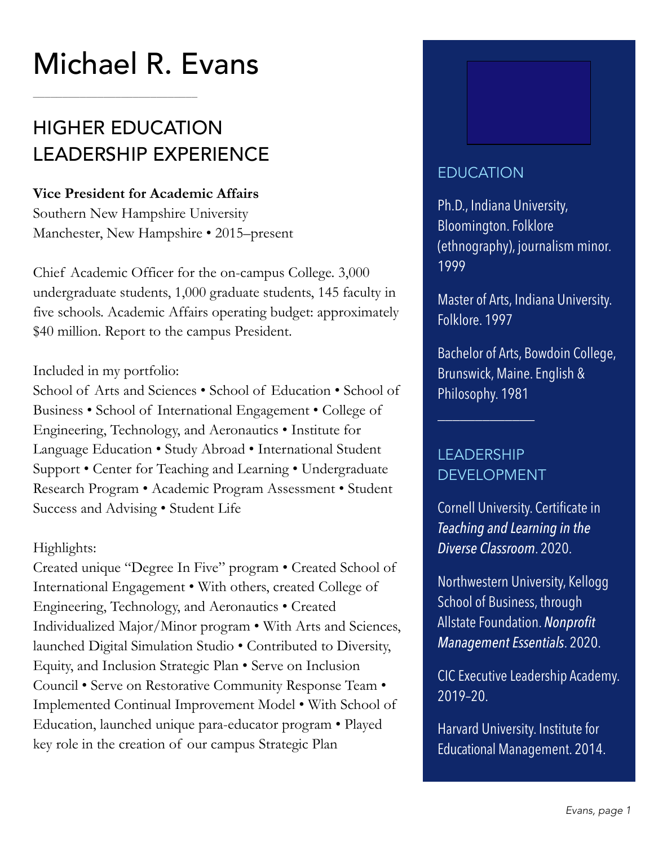# Michael R. Evans

\_\_\_\_\_\_\_\_\_\_\_\_\_\_\_\_\_\_\_\_\_\_\_\_\_\_\_\_ 

# HIGHER EDUCATION LEADERSHIP EXPERIENCE

#### **Vice President for Academic Affairs**

Southern New Hampshire University Manchester, New Hampshire • 2015–present

Chief Academic Officer for the on-campus College. 3,000 undergraduate students, 1,000 graduate students, 145 faculty in five schools. Academic Affairs operating budget: approximately \$40 million. Report to the campus President.

#### Included in my portfolio:

School of Arts and Sciences • School of Education • School of Business • School of International Engagement • College of Engineering, Technology, and Aeronautics • Institute for Language Education • Study Abroad • International Student Support • Center for Teaching and Learning • Undergraduate Research Program • Academic Program Assessment • Student Success and Advising • Student Life

#### Highlights:

Created unique "Degree In Five" program • Created School of International Engagement • With others, created College of Engineering, Technology, and Aeronautics • Created Individualized Major/Minor program • With Arts and Sciences, launched Digital Simulation Studio • Contributed to Diversity, Equity, and Inclusion Strategic Plan • Serve on Inclusion Council • Serve on Restorative Community Response Team • Implemented Continual Improvement Model • With School of Education, launched unique para-educator program • Played key role in the creation of our campus Strategic Plan



### EDUCATION

Ph.D., Indiana University, Bloomington. Folklore (ethnography), journalism minor. 1999

Master of Arts, Indiana University. Folklore. 1997

Bachelor of Arts, Bowdoin College, Brunswick, Maine. English & Philosophy. 1981

### LEADERSHIP DEVELOPMENT

\_\_\_\_\_\_\_\_\_\_\_\_\_

Cornell University. Certificate in *Teaching and Learning in the Diverse Classroom*. 2020.

Northwestern University, Kellogg School of Business, through Allstate Foundation. *Nonprofit Management Essentials*. 2020.

CIC Executive Leadership Academy. 2019–20.

Harvard University. Institute for Educational Management. 2014.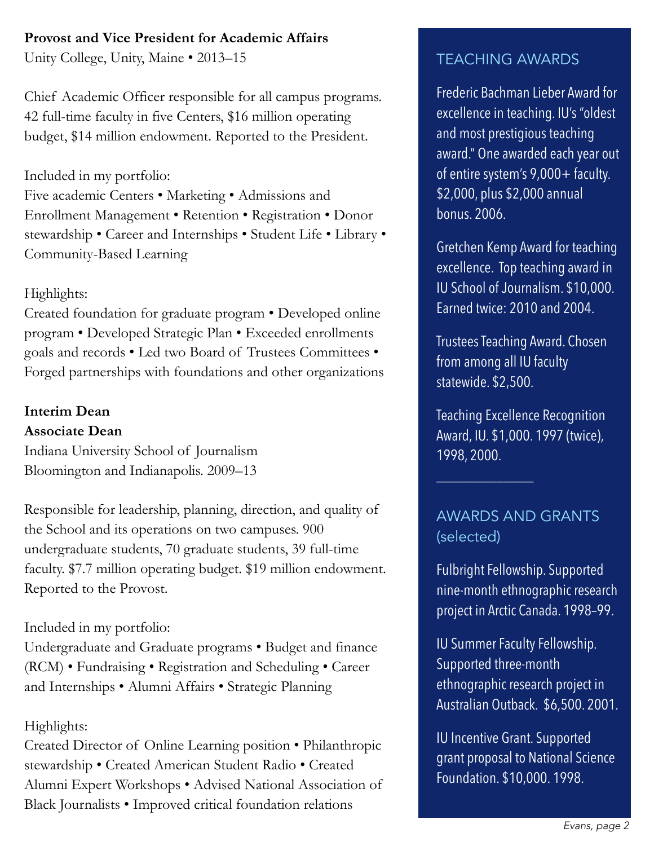#### **Provost and Vice President for Academic Affairs**

Unity College, Unity, Maine • 2013–15

Chief Academic Officer responsible for all campus programs. 42 full-time faculty in five Centers, \$16 million operating budget, \$14 million endowment. Reported to the President.

#### Included in my portfolio:

Five academic Centers • Marketing • Admissions and Enrollment Management • Retention • Registration • Donor stewardship • Career and Internships • Student Life • Library • Community-Based Learning

#### Highlights:

Created foundation for graduate program • Developed online program • Developed Strategic Plan • Exceeded enrollments goals and records • Led two Board of Trustees Committees • Forged partnerships with foundations and other organizations

# **Interim Dean**

#### **Associate Dean**

Indiana University School of Journalism Bloomington and Indianapolis. 2009–13

Responsible for leadership, planning, direction, and quality of the School and its operations on two campuses. 900 undergraduate students, 70 graduate students, 39 full-time faculty. \$7.7 million operating budget. \$19 million endowment. Reported to the Provost.

#### Included in my portfolio:

Undergraduate and Graduate programs • Budget and finance (RCM) • Fundraising • Registration and Scheduling • Career and Internships • Alumni Affairs • Strategic Planning

#### Highlights:

Created Director of Online Learning position • Philanthropic stewardship • Created American Student Radio • Created Alumni Expert Workshops • Advised National Association of Black Journalists • Improved critical foundation relations

### TEACHING AWARDS

Frederic Bachman Lieber Award for excellence in teaching. IU's "oldest and most prestigious teaching award." One awarded each year out of entire system's 9,000+ faculty. \$2,000, plus \$2,000 annual bonus. 2006.

Gretchen Kemp Award for teaching excellence. Top teaching award in IU School of Journalism. \$10,000. Earned twice: 2010 and 2004.

Trustees Teaching Award. Chosen from among all IU faculty statewide. \$2,500.

Teaching Excellence Recognition Award, IU. \$1,000. 1997 (twice), 1998, 2000.

### AWARDS AND GRANTS (selected)

\_\_\_\_\_\_\_\_\_\_\_\_\_

Fulbright Fellowship. Supported nine-month ethnographic research project in Arctic Canada. 1998–99.

IU Summer Faculty Fellowship. Supported three-month ethnographic research project in Australian Outback. \$6,500. 2001.

IU Incentive Grant. Supported grant proposal to National Science Foundation. \$10,000. 1998.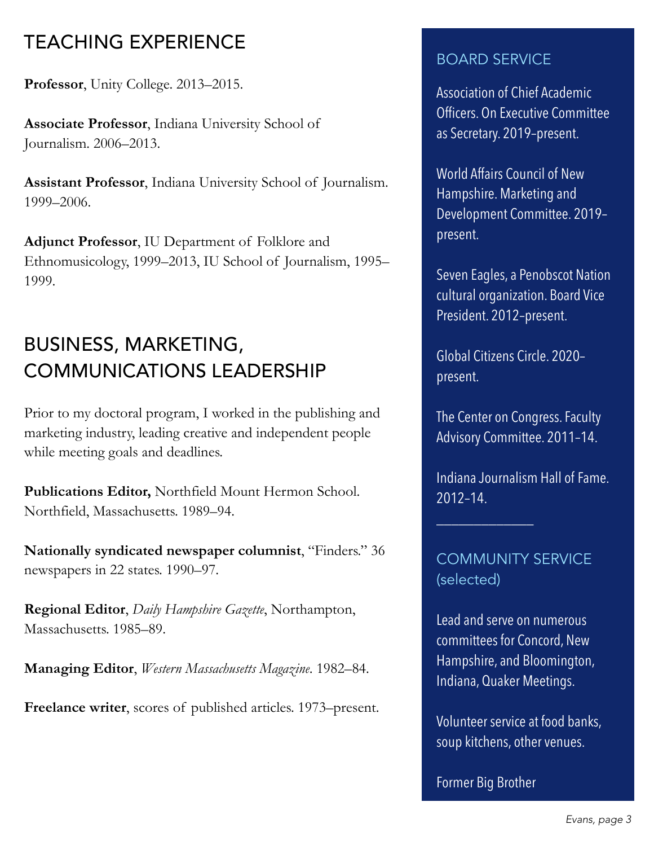# TEACHING EXPERIENCE

**Professor**, Unity College. 2013–2015.

**Associate Professor**, Indiana University School of Journalism. 2006–2013.

**Assistant Professor**, Indiana University School of Journalism. 1999–2006.

**Adjunct Professor**, IU Department of Folklore and Ethnomusicology, 1999–2013, IU School of Journalism, 1995– 1999.

# BUSINESS, MARKETING, COMMUNICATIONS LEADERSHIP

Prior to my doctoral program, I worked in the publishing and marketing industry, leading creative and independent people while meeting goals and deadlines.

**Publications Editor,** Northfield Mount Hermon School. Northfield, Massachusetts. 1989–94.

**Nationally syndicated newspaper columnist**, "Finders." 36 newspapers in 22 states. 1990–97.

**Regional Editor**, *Daily Hampshire Gazette*, Northampton, Massachusetts. 1985–89.

**Managing Editor**, *Western Massachusetts Magazine*. 1982–84.

**Freelance writer**, scores of published articles. 1973–present.

### BOARD SERVICE

Association of Chief Academic Officers. On Executive Committee as Secretary. 2019–present.

World Affairs Council of New Hampshire. Marketing and Development Committee. 2019– present.

Seven Eagles, a Penobscot Nation cultural organization. Board Vice President. 2012–present.

Global Citizens Circle. 2020– present.

The Center on Congress. Faculty Advisory Committee. 2011–14.

Indiana Journalism Hall of Fame. 2012–14.

COMMUNITY SERVICE (selected)

\_\_\_\_\_\_\_\_\_\_\_\_\_

Lead and serve on numerous committees for Concord, New Hampshire, and Bloomington, Indiana, Quaker Meetings.

Volunteer service at food banks, soup kitchens, other venues.

Former Big Brother